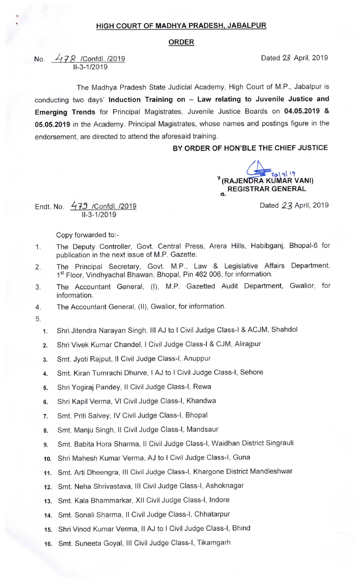## HIGH COURT OF MADHYA PRADESH, JABALPUR

## ORDER

No. 478 /Confdl. /2019 11-3-1/2019

The Madhya Pradesh State Judicial Academy, High Court of M.P., Jabalpur is conducting two days' Induction Training on  $-$  Law relating to Juvenile Justice and Emerging Trends for Principal Magistrates, Juvenile Justice Boards on 04.05.2019 & 05.05.2019 in the Academy. Principal Magistrates, whose names and postings figure in the endorsement, are directed to attend the aforesaid training.

BY ORDER OF HON'BLE THE CHIEF JUSTICE

 $\frac{1}{\sqrt{2}}$   $\frac{1}{\sqrt{2}}$   $\frac{1}{\sqrt{2}}$  (RAJENDRA KUMAR VANI)  $\epsilon_{\rm BL}$  REGISTRAR GENERAL

Dated 23 April, 2019

Dated 23 April, 2019

Endt. No.  $479$  /Confdl. /2019 11-3-1/2019

Copy forwarded to:-

- 1. The Deputy Controller, Govt. Central Press, Arera Hills, Habibganj, Bhopal-6 for publication in the next issue of M.P. Gazette.
- 2. The Principal Secretary, Govt. M.P., Law & Legislative Affairs Department, 1<sup>st</sup> Floor, Vindhyachal Bhawan, Bhopal, Pin 462 006, for information.
- 3. The Accountant General, (I), M.P. Gazetted Audit Department, Gwalior, for information.
- 4. The Accountant General, (II), Gwalior, for information.
- 5.
	- 1. Shri Jitendra Narayan Singh, III AJ to I Civil Judge Class-I & ACJM, Shahdol
	- 2. Shri Vivek Kumar Chandel, I Civil Judge Class-I & CJM, Alirajpur
	- 3. Smt. Jyoti Rajput, ll civil Judge class-I, Anuppur
	- 4. Smt. Kiran Tumrachi Dhurve, I AJ to I civil Judge class-I, Sehore
	- 5. Shri Yogiraj Pandey, Il Civil Judge Class-I, Rewa
	- 6. Shri Kapil verma, VI civil Judge class-I, Khandwa
	- 7. Smt. Priti Salvey, IV Civil Judge Class-I, Bhopal
	- 8. Smt. Manju Singh, II Civil Judge Class-I, Mandsaur
	- 9. Smt. Babita Hora Sharma, Il Civil Judge Class-I, Waidhan District Singrauli
	- 10. Shri Mahesh Kumar Verma, AJ to I Civil Judge Class-I, Guna
	- 11. Smt. Arti Dheengra, III Civil Judge Class-I, Khargone District Mandleshwar
	- 12. Smt. Neha Shrivastava, III Civil Judge Class-I, Ashoknagar
	- 13. Smt. Kala Bhammarkar, Xll Civil Judge Class-I, lndore
	- 14. Smt. Sonali Sharma, 11 Civil Judge Class-I, Chhatarpur
	- 15. Shri Vinod Kumar Verma, II AJ to I Civil Judge Class-I, Bhind
	- 16. Smt. Suneeta Goyal, III Civil Judge Class-I, Tikamgarh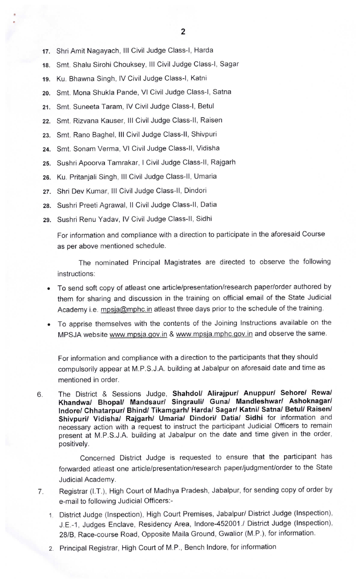- 17. Shri Amit Nagayach, III Civil Judge Class-I, Harda
- 18. Smt. Shalu Sirohi Chouksey, III Civil Judge Class-I, Sagar
- 19. Ku. Bhawna Singh, IV Civil Judge Class-I, Katni
- 2o. Smt. Mona Shukla Pande, VI Civil Judge Class-I, Satna
- 21. Smt. Suneeta Taram, IV Civil Judge Class-I, Betul
- 22. Smt. Rizvana Kauser, III Civil Judge Class-II, Raisen
- 23. Smt. Rano Baghel, III Civil Judge Class-II, Shivpuri
- 24. Smt. Sonam Verma, VI Civil Judge Class-II, Vidisha
- 25. Sushri Apoorva Tamrakar, I Civil Judge Class-ll, Rajgarh
- 26. Ku. Pritanjali Singh, III Civil Judge Class-II, Umaria
- 27. Shri Dev Kumar, III Civil Judge Class-II, Dindori
- 28. Sushri Preeti Agrawal, II Civil Judge Class-II, Datia
- 29. Sushri Renu Yadav, IV Civil Judge Class-II, Sidhi

For information and compliance with a direction to participate in the aforesaid Course as per above mentioned schedule.

The nominated Principal Magistrates are directed to observe the following instructions:

- To send soft copy of atleast one article/presentation/research paper/order authored by them for sharing and discussion in the training on official email Of the State Judicial Academy i.e. mpsja@mphc.in atleast three days prior to the schedule of the training.
- To apprise themselves with the contents of the Joining Instructions available on the MPSJA website www.mpsja.gov.in & www.mpsja.mphc.gov.in and observe the same.

For information and compliance with a direction to the participants that they should compulsorily appear at M.P.S.J.A. building at Jabalpur on aforesaid date and time as mentioned in order.

6. The District & Sessions Judge, Shahdol/ Alirajpur/ Anuppur/ Sehore/ Rewa/ Khandwa/ Bhopal/ Mandsaur/ Singrauli/ Guna/ Mandleshwar/ Ashoknagar/ lndore/ Chhatarpur/ Bhind/ Tikamgarh/ Harda/ Sagar/ Katni/ Satna/ Betul/ Raisen/ Shivpuri/ Vidisha/ Rajgarh/ Umaria/ Dindori/ Datia/ Sidhi for information and necessary action with a request to instruct the participant Judicial Officers to remain present at M.P.S.J.A. building at Jabalpur on the date and time given in the order, positively.

Concerned District Judge is requested to ensure that the participant has forwarded atleast one article/presentation/research paper/judgment/order to the State Judicial Academy.

- 7. Registrar (I.T.), High court of Madhya pradesh, Jabalpur, for sending copy of order by e-mail to following Judicial Officers:-
	- 1. District Judge (Inspection), High Court Premises, Jabalpur/ District Judge (Inspection), J.E.-1, Judges Enclave, Residency Area, lndore-452001./ District Judge (Inspection), 28/8, Race-course Road, Opposite Maila Ground, Gwalior (M.P.), for information.
	- 2. Principal Registrar, High Court of M.P., Bench lndore, for information